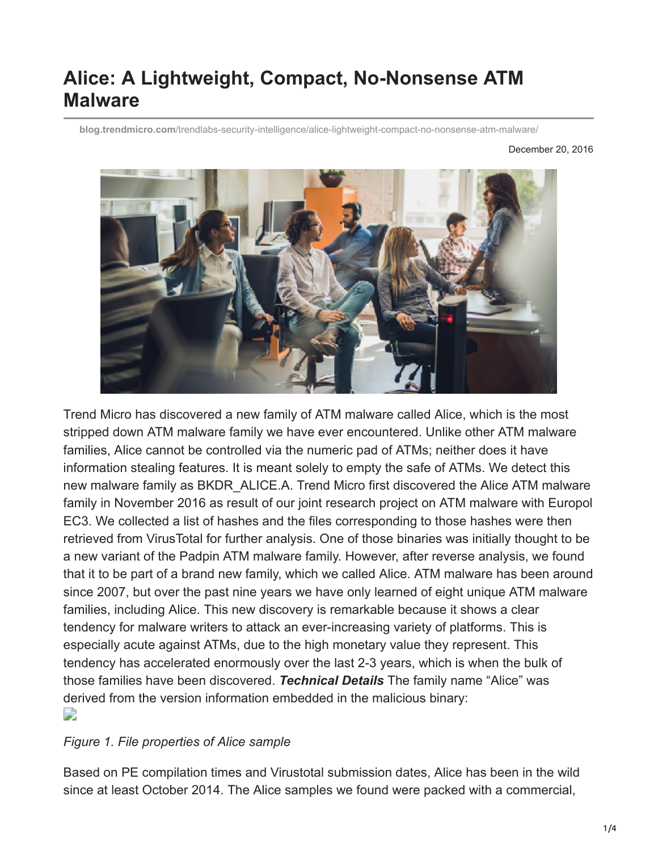# **Alice: A Lightweight, Compact, No-Nonsense ATM Malware**

**blog.trendmicro.com**[/trendlabs-security-intelligence/alice-lightweight-compact-no-nonsense-atm-malware/](http://blog.trendmicro.com/trendlabs-security-intelligence/alice-lightweight-compact-no-nonsense-atm-malware/)

December 20, 2016



Trend Micro has discovered a new family of ATM malware called Alice, which is the most stripped down ATM malware family we have ever encountered. Unlike other ATM malware families, Alice cannot be controlled via the numeric pad of ATMs; neither does it have information stealing features. It is meant solely to empty the safe of ATMs. We detect this new malware family as BKDR\_ALICE.A. Trend Micro first discovered the Alice ATM malware family in November 2016 as result of our joint research project on ATM malware with Europol EC3. We collected a list of hashes and the files corresponding to those hashes were then retrieved from VirusTotal for further analysis. One of those binaries was initially thought to be a new variant of the Padpin ATM malware family. However, after reverse analysis, we found that it to be part of a brand new family, which we called Alice. ATM malware has been around since 2007, but over the past nine years we have only learned of eight unique ATM malware families, including Alice. This new discovery is remarkable because it shows a clear tendency for malware writers to attack an ever-increasing variety of platforms. This is especially acute against ATMs, due to the high monetary value they represent. This tendency has accelerated enormously over the last 2-3 years, which is when the bulk of those families have been discovered. *Technical Details* The family name "Alice" was derived from the version information embedded in the malicious binary: D

#### *Figure 1. File properties of Alice sample*

Based on PE compilation times and Virustotal submission dates, Alice has been in the wild since at least October 2014. The Alice samples we found were packed with a commercial,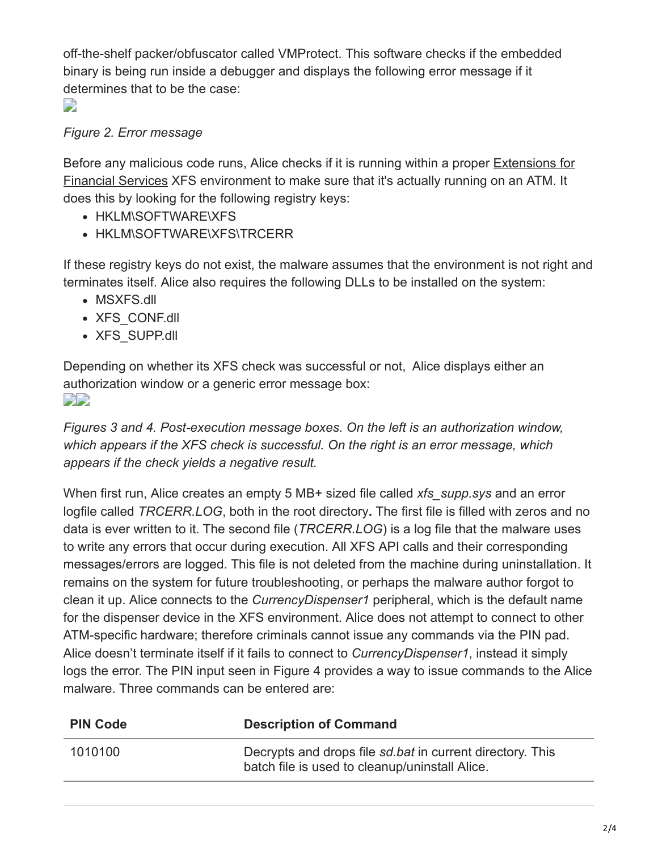off-the-shelf packer/obfuscator called VMProtect. This software checks if the embedded binary is being run inside a debugger and displays the following error message if it determines that to be the case:

D

## *Figure 2. Error message*

[Before any malicious code runs, Alice checks if it is running within a proper Extensions for](http://www.cen.eu/work/areas/ict/ebusiness/pages/cwa16374.aspx) Financial Services XFS environment to make sure that it's actually running on an ATM. It does this by looking for the following registry keys:

- HKLM\SOFTWARE\XFS
- HKLM\SOFTWARE\XFS\TRCERR

If these registry keys do not exist, the malware assumes that the environment is not right and terminates itself. Alice also requires the following DLLs to be installed on the system:

- MSXFS.dll
- XFS CONF.dll
- XFS SUPP.dll

Depending on whether its XFS check was successful or not, Alice displays either an authorization window or a generic error message box: شائعا

*Figures 3 and 4. Post-execution message boxes. On the left is an authorization window, which appears if the XFS check is successful. On the right is an error message, which appears if the check yields a negative result.*

When first run, Alice creates an empty 5 MB+ sized file called *xfs\_supp.sys* and an error logfile called *TRCERR.LOG*, both in the root directory**.** The first file is filled with zeros and no data is ever written to it. The second file (*TRCERR.LOG*) is a log file that the malware uses to write any errors that occur during execution. All XFS API calls and their corresponding messages/errors are logged. This file is not deleted from the machine during uninstallation. It remains on the system for future troubleshooting, or perhaps the malware author forgot to clean it up. Alice connects to the *CurrencyDispenser1* peripheral, which is the default name for the dispenser device in the XFS environment. Alice does not attempt to connect to other ATM-specific hardware; therefore criminals cannot issue any commands via the PIN pad. Alice doesn't terminate itself if it fails to connect to *CurrencyDispenser1*, instead it simply logs the error. The PIN input seen in Figure 4 provides a way to issue commands to the Alice malware. Three commands can be entered are:

| <b>PIN Code</b> | <b>Description of Command</b>                                                                               |
|-----------------|-------------------------------------------------------------------------------------------------------------|
| 1010100         | Decrypts and drops file sd bat in current directory. This<br>batch file is used to cleanup/uninstall Alice. |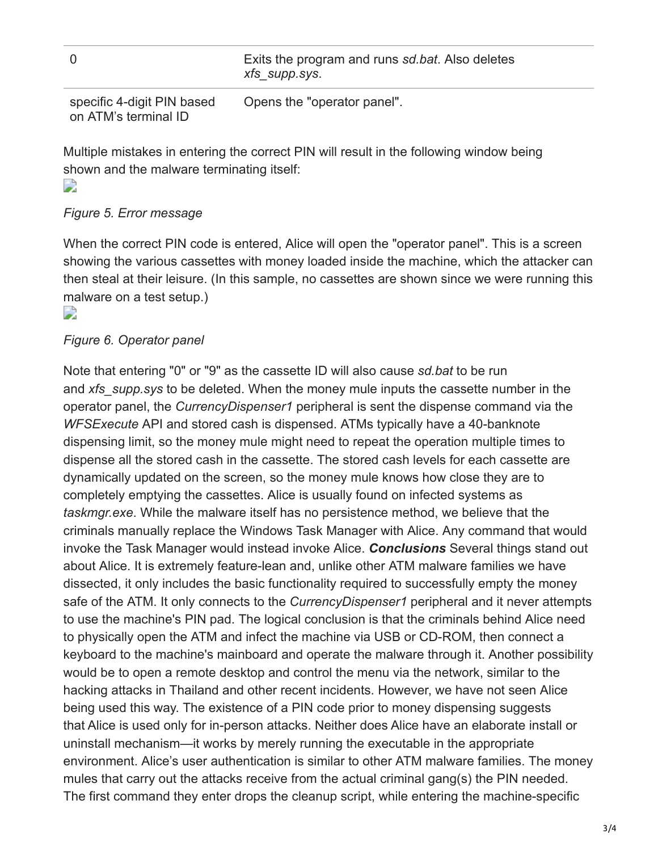|  |  |  |  |  |  | xfs_supp.sys. | Exits the program and runs sd.bat. Also deletes |  |  |
|--|--|--|--|--|--|---------------|-------------------------------------------------|--|--|
|  |  |  |  |  |  |               |                                                 |  |  |

specific 4-digit PIN based on ATM's terminal ID Opens the "operator panel".

Multiple mistakes in entering the correct PIN will result in the following window being shown and the malware terminating itself: D

## *Figure 5. Error message*

When the correct PIN code is entered, Alice will open the "operator panel". This is a screen showing the various cassettes with money loaded inside the machine, which the attacker can then steal at their leisure. (In this sample, no cassettes are shown since we were running this malware on a test setup.)

#### D

## *Figure 6. Operator panel*

Note that entering "0" or "9" as the cassette ID will also cause *sd.bat* to be run and *xfs\_supp.sys* to be deleted. When the money mule inputs the cassette number in the operator panel, the *CurrencyDispenser1* peripheral is sent the dispense command via the *WFSExecute* API and stored cash is dispensed. ATMs typically have a 40-banknote dispensing limit, so the money mule might need to repeat the operation multiple times to dispense all the stored cash in the cassette. The stored cash levels for each cassette are dynamically updated on the screen, so the money mule knows how close they are to completely emptying the cassettes. Alice is usually found on infected systems as *taskmgr.exe*. While the malware itself has no persistence method, we believe that the criminals manually replace the Windows Task Manager with Alice. Any command that would invoke the Task Manager would instead invoke Alice. *Conclusions* Several things stand out about Alice. It is extremely feature-lean and, unlike other ATM malware families we have dissected, it only includes the basic functionality required to successfully empty the money safe of the ATM. It only connects to the *CurrencyDispenser1* peripheral and it never attempts to use the machine's PIN pad. The logical conclusion is that the criminals behind Alice need to physically open the ATM and infect the machine via USB or CD-ROM, then connect a keyboard to the machine's mainboard and operate the malware through it. Another possibility would be to open a remote desktop and control the menu via the network, similar to the hacking attacks in Thailand and other recent incidents. However, we have not seen Alice being used this way. The existence of a PIN code prior to money dispensing suggests that Alice is used only for in-person attacks. Neither does Alice have an elaborate install or uninstall mechanism—it works by merely running the executable in the appropriate environment. Alice's user authentication is similar to other ATM malware families. The money mules that carry out the attacks receive from the actual criminal gang(s) the PIN needed. The first command they enter drops the cleanup script, while entering the machine-specific